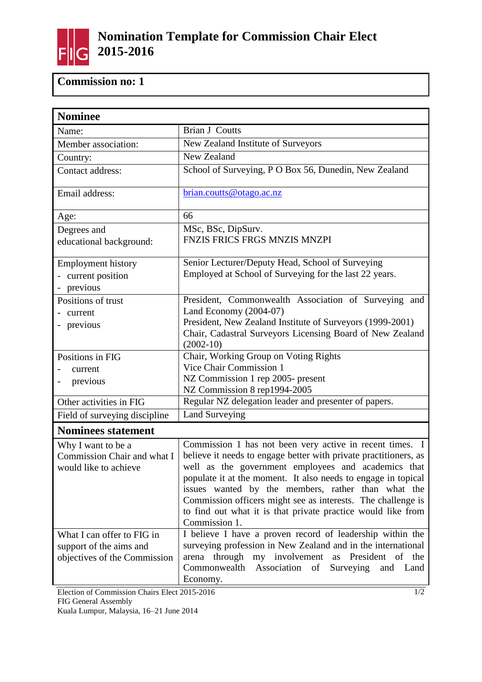

## **Commission no: 1**

| <b>Nominee</b>                                                                        |                                                                                                                                                                                                                                                                                                                                                                                                                                                             |  |
|---------------------------------------------------------------------------------------|-------------------------------------------------------------------------------------------------------------------------------------------------------------------------------------------------------------------------------------------------------------------------------------------------------------------------------------------------------------------------------------------------------------------------------------------------------------|--|
| Name:                                                                                 | <b>Brian J Coutts</b>                                                                                                                                                                                                                                                                                                                                                                                                                                       |  |
| Member association:                                                                   | New Zealand Institute of Surveyors                                                                                                                                                                                                                                                                                                                                                                                                                          |  |
| Country:                                                                              | New Zealand                                                                                                                                                                                                                                                                                                                                                                                                                                                 |  |
| Contact address:                                                                      | School of Surveying, P O Box 56, Dunedin, New Zealand                                                                                                                                                                                                                                                                                                                                                                                                       |  |
| Email address:                                                                        | brian.coutts@otago.ac.nz                                                                                                                                                                                                                                                                                                                                                                                                                                    |  |
| Age:                                                                                  | 66                                                                                                                                                                                                                                                                                                                                                                                                                                                          |  |
| Degrees and<br>educational background:                                                | MSc, BSc, DipSurv.<br>FNZIS FRICS FRGS MNZIS MNZPI                                                                                                                                                                                                                                                                                                                                                                                                          |  |
| <b>Employment history</b><br>- current position<br>previous                           | Senior Lecturer/Deputy Head, School of Surveying<br>Employed at School of Surveying for the last 22 years.                                                                                                                                                                                                                                                                                                                                                  |  |
| Positions of trust<br>current<br>previous                                             | President, Commonwealth Association of Surveying and<br>Land Economy (2004-07)<br>President, New Zealand Institute of Surveyors (1999-2001)<br>Chair, Cadastral Surveyors Licensing Board of New Zealand<br>$(2002-10)$                                                                                                                                                                                                                                     |  |
| Positions in FIG<br>current<br>previous                                               | Chair, Working Group on Voting Rights<br>Vice Chair Commission 1<br>NZ Commission 1 rep 2005- present<br>NZ Commission 8 rep1994-2005                                                                                                                                                                                                                                                                                                                       |  |
| Other activities in FIG                                                               | Regular NZ delegation leader and presenter of papers.                                                                                                                                                                                                                                                                                                                                                                                                       |  |
| Field of surveying discipline                                                         | <b>Land Surveying</b>                                                                                                                                                                                                                                                                                                                                                                                                                                       |  |
| <b>Nominees statement</b>                                                             |                                                                                                                                                                                                                                                                                                                                                                                                                                                             |  |
| Why I want to be a<br>Commission Chair and what I<br>would like to achieve            | Commission 1 has not been very active in recent times. I<br>believe it needs to engage better with private practitioners, as<br>well as the government employees and academics that<br>populate it at the moment. It also needs to engage in topical<br>issues wanted by the members, rather than what the<br>Commission officers might see as interests. The challenge is<br>to find out what it is that private practice would like from<br>Commission 1. |  |
| What I can offer to FIG in<br>support of the aims and<br>objectives of the Commission | I believe I have a proven record of leadership within the<br>surveying profession in New Zealand and in the international<br>arena through<br>my involvement as President of the<br>Commonwealth<br>Association of<br>Surveying and Land<br>Economy.                                                                                                                                                                                                        |  |

Election of Commission Chairs Elect 2015-2016 FIG General Assembly Kuala Lumpur, Malaysia, 16–21 June 2014